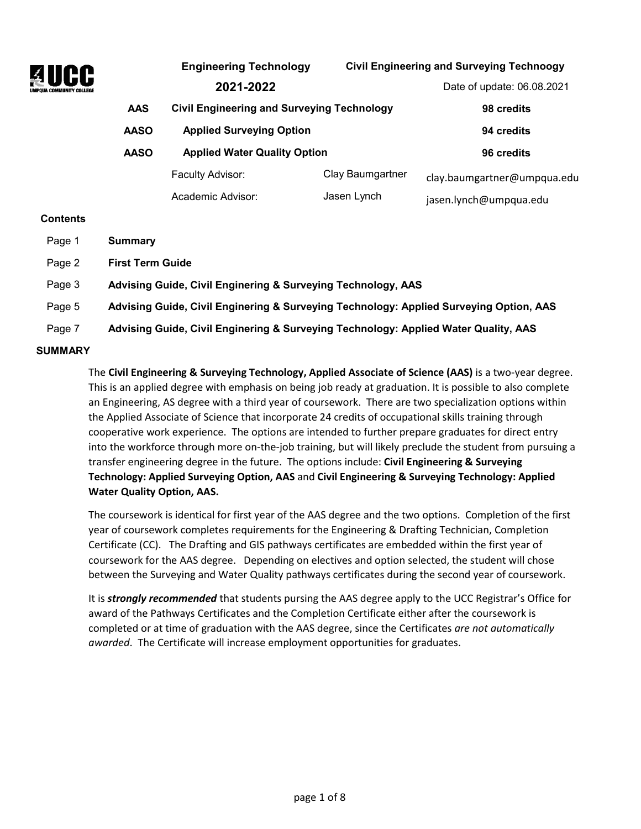

|            | <b>Engineering Technology</b>                     |                  | <b>Civil Engineering and Surveying Technoogy</b> |
|------------|---------------------------------------------------|------------------|--------------------------------------------------|
|            | 2021-2022                                         |                  | Date of update: 06.08.2021                       |
| <b>AAS</b> | <b>Civil Engineering and Surveying Technology</b> |                  | 98 credits                                       |
| AASO       | <b>Applied Surveying Option</b>                   |                  | 94 credits                                       |
| AASO       | <b>Applied Water Quality Option</b>               |                  | 96 credits                                       |
|            | Faculty Advisor:                                  | Clay Baumgartner | clay.baumgartner@umpqua.edu                      |
|            | Academic Advisor:                                 | Jasen Lynch      | jasen.lynch@umpqua.edu                           |

#### **Contents**

| Page 1          | Summary                                                                                |
|-----------------|----------------------------------------------------------------------------------------|
| Page 2          | <b>First Term Guide</b>                                                                |
| Page 3          | Advising Guide, Civil Enginering & Surveying Technology, AAS                           |
| Page 5          | Advising Guide, Civil Enginering & Surveying Technology: Applied Surveying Option, AAS |
| Page 7          | Advising Guide, Civil Enginering & Surveying Technology: Applied Water Quality, AAS    |
| <b>CIIMMADV</b> |                                                                                        |

#### **SUMMARY**

The **Civil Engineering & Surveying Technology, Applied Associate of Science (AAS)** is a two-year degree. This is an applied degree with emphasis on being job ready at graduation. It is possible to also complete an Engineering, AS degree with a third year of coursework. There are two specialization options within the Applied Associate of Science that incorporate 24 credits of occupational skills training through cooperative work experience. The options are intended to further prepare graduates for direct entry into the workforce through more on-the-job training, but will likely preclude the student from pursuing a transfer engineering degree in the future. The options include: **Civil Engineering & Surveying Technology: Applied Surveying Option, AAS** and **Civil Engineering & Surveying Technology: Applied Water Quality Option, AAS.** 

The coursework is identical for first year of the AAS degree and the two options. Completion of the first year of coursework completes requirements for the Engineering & Drafting Technician, Completion Certificate (CC). The Drafting and GIS pathways certificates are embedded within the first year of coursework for the AAS degree. Depending on electives and option selected, the student will chose between the Surveying and Water Quality pathways certificates during the second year of coursework.

It is *strongly recommended* that students pursing the AAS degree apply to the UCC Registrar's Office for award of the Pathways Certificates and the Completion Certificate either after the coursework is completed or at time of graduation with the AAS degree, since the Certificates *are not automatically awarded*. The Certificate will increase employment opportunities for graduates.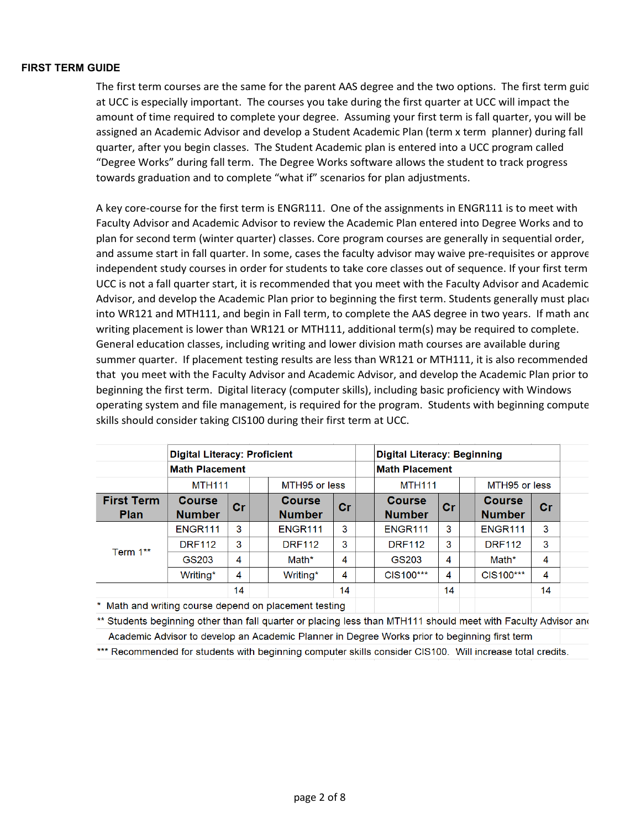#### **FIRST TERM GUIDE**

The first term courses are the same for the parent AAS degree and the two options. The first term guid at UCC is especially important. The courses you take during the first quarter at UCC will impact the amount of time required to complete your degree. Assuming your first term is fall quarter, you will be assigned an Academic Advisor and develop a Student Academic Plan (term x term planner) during fall quarter, after you begin classes. The Student Academic plan is entered into a UCC program called "Degree Works" during fall term. The Degree Works software allows the student to track progress towards graduation and to complete "what if" scenarios for plan adjustments.

A key core-course for the first term is ENGR111. One of the assignments in ENGR111 is to meet with Faculty Advisor and Academic Advisor to review the Academic Plan entered into Degree Works and to plan for second term (winter quarter) classes. Core program courses are generally in sequential order, and assume start in fall quarter. In some, cases the faculty advisor may waive pre-requisites or approve independent study courses in order for students to take core classes out of sequence. If your first term UCC is not a fall quarter start, it is recommended that you meet with the Faculty Advisor and Academic Advisor, and develop the Academic Plan prior to beginning the first term. Students generally must place into WR121 and MTH111, and begin in Fall term, to complete the AAS degree in two years. If math and writing placement is lower than WR121 or MTH111, additional term(s) may be required to complete. General education classes, including writing and lower division math courses are available during summer quarter. If placement testing results are less than WR121 or MTH111, it is also recommended that you meet with the Faculty Advisor and Academic Advisor, and develop the Academic Plan prior to beginning the first term. Digital literacy (computer skills), including basic proficiency with Windows operating system and file management, is required for the program. Students with beginning compute skills should consider taking CIS100 during their first term at UCC.

|                                  |                                | <b>Digital Literacy: Proficient</b> |               |                                |               | <b>Digital Literacy: Beginning</b> |    |               |                                |    |
|----------------------------------|--------------------------------|-------------------------------------|---------------|--------------------------------|---------------|------------------------------------|----|---------------|--------------------------------|----|
|                                  | <b>Math Placement</b>          |                                     |               |                                |               | <b>Math Placement</b>              |    |               |                                |    |
|                                  | <b>MTH111</b>                  |                                     | MTH95 or less |                                | <b>MTH111</b> |                                    |    | MTH95 or less |                                |    |
| <b>First Term</b><br><b>Plan</b> | <b>Course</b><br><b>Number</b> | cr                                  |               | <b>Course</b><br><b>Number</b> | cr            | <b>Course</b><br><b>Number</b>     | cr |               | <b>Course</b><br><b>Number</b> | Cr |
| Term 1**                         | ENGR <sub>111</sub>            | 3                                   |               | ENGR <sub>111</sub>            | 3             | ENGR <sub>111</sub>                | 3  |               | <b>ENGR111</b>                 | 3  |
|                                  | <b>DRF112</b>                  | 3                                   |               | <b>DRF112</b>                  | 3             | <b>DRF112</b>                      | 3  |               | <b>DRF112</b>                  | 3  |
|                                  | GS203                          | 4                                   |               | Math*                          | 4             | GS203                              | 4  |               | Math*                          | 4  |
|                                  | Writing*                       | 4                                   |               | Writing*                       | 4             | CIS100***                          | 4  |               | CIS100***                      | 4  |
|                                  |                                | 14                                  |               |                                | 14            |                                    | 14 |               |                                | 14 |

\* Math and writing course depend on placement testing

\*\* Students beginning other than fall quarter or placing less than MTH111 should meet with Faculty Advisor and Academic Advisor to develop an Academic Planner in Degree Works prior to beginning first term

\*\*\* Recommended for students with beginning computer skills consider CIS100. Will increase total credits.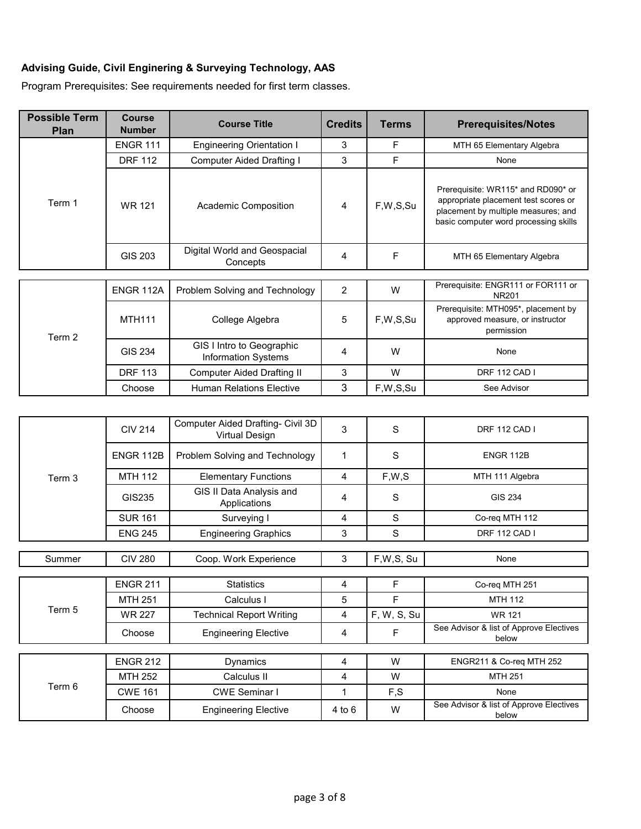## **Advising Guide, Civil Enginering & Surveying Technology, AAS**

Program Prerequisites: See requirements needed for first term classes.

| <b>Possible Term</b><br>Plan | <b>Course</b><br><b>Number</b> | <b>Course Title</b>                                     | <b>Credits</b> | <b>Terms</b> | <b>Prerequisites/Notes</b>                                                                                                                                 |
|------------------------------|--------------------------------|---------------------------------------------------------|----------------|--------------|------------------------------------------------------------------------------------------------------------------------------------------------------------|
|                              | <b>ENGR 111</b>                | <b>Engineering Orientation I</b>                        | 3              | F            | MTH 65 Elementary Algebra                                                                                                                                  |
| Term 1                       | <b>DRF 112</b>                 | <b>Computer Aided Drafting I</b>                        | 3              | F            | None                                                                                                                                                       |
|                              | <b>WR 121</b>                  | Academic Composition                                    | 4              | F,W,S,Su     | Prerequisite: WR115* and RD090* or<br>appropriate placement test scores or<br>placement by multiple measures; and<br>basic computer word processing skills |
|                              | <b>GIS 203</b>                 | Digital World and Geospacial<br>Concepts                | 4              | F            | MTH 65 Elementary Algebra                                                                                                                                  |
|                              |                                |                                                         |                |              | Prerequisite: ENGR111 or FOR111 or                                                                                                                         |
|                              | ENGR 112A                      | Problem Solving and Technology                          | 2              | W            | <b>NR201</b>                                                                                                                                               |
| Term 2                       | <b>MTH111</b>                  | College Algebra                                         | 5              | F,W,S,Su     | Prerequisite: MTH095*, placement by<br>approved measure, or instructor<br>permission                                                                       |
|                              | <b>GIS 234</b>                 | GIS I Intro to Geographic<br><b>Information Systems</b> | 4              | W            | None                                                                                                                                                       |
|                              | <b>DRF 113</b>                 | <b>Computer Aided Drafting II</b>                       | 3              | W            | DRF 112 CAD I                                                                                                                                              |
|                              | Choose                         | <b>Human Relations Elective</b>                         | 3              | F,W,S,Su     | See Advisor                                                                                                                                                |
|                              |                                |                                                         |                |              |                                                                                                                                                            |
|                              | <b>CIV 214</b>                 | Computer Aided Drafting- Civil 3D<br>Virtual Design     | $\mathfrak{S}$ | $\mathbf S$  | <b>DRF 112 CAD I</b>                                                                                                                                       |
|                              | <b>ENGR 112B</b>               | Problem Solving and Technology                          | $\mathbf 1$    | S            | ENGR 112B                                                                                                                                                  |
| Term 3                       | <b>MTH 112</b>                 | <b>Elementary Functions</b>                             | 4              | F,W,S        | MTH 111 Algebra                                                                                                                                            |
|                              | GIS235                         | GIS II Data Analysis and<br>Applications                | 4              | S            | GIS 234                                                                                                                                                    |
|                              | <b>SUR 161</b>                 | Surveying I                                             | 4              | $\mathbf S$  | Co-req MTH 112                                                                                                                                             |
|                              | <b>ENG 245</b>                 | <b>Engineering Graphics</b>                             | 3              | $\mathbf S$  | <b>DRF 112 CAD I</b>                                                                                                                                       |
|                              |                                |                                                         |                |              |                                                                                                                                                            |
| Summer                       | <b>CIV 280</b>                 | Coop. Work Experience                                   | 3              | F,W,S, Su    | None                                                                                                                                                       |
|                              | <b>ENGR 211</b>                | <b>Statistics</b>                                       | $\overline{4}$ | F            | Co-req MTH 251                                                                                                                                             |
| Term 5                       | <b>MTH 251</b>                 | Calculus I                                              | 5              | F            | <b>MTH 112</b>                                                                                                                                             |
|                              | <b>WR 227</b>                  | <b>Technical Report Writing</b>                         | $\overline{4}$ | F, W, S, Su  | <b>WR 121</b>                                                                                                                                              |
|                              | Choose                         | <b>Engineering Elective</b>                             | $\overline{4}$ | F            | See Advisor & list of Approve Electives<br>below                                                                                                           |
|                              | <b>ENGR 212</b>                | <b>Dynamics</b>                                         | 4              | W            | ENGR211 & Co-req MTH 252                                                                                                                                   |
|                              | <b>MTH 252</b>                 | Calculus II                                             | $\overline{4}$ | W            | MTH 251                                                                                                                                                    |
| Term 6                       | <b>CWE 161</b>                 | <b>CWE Seminar I</b>                                    | $\mathbf{1}$   | F,S          | None                                                                                                                                                       |
|                              | Choose                         | <b>Engineering Elective</b>                             | $4$ to $6$     | W            | See Advisor & list of Approve Electives<br>below                                                                                                           |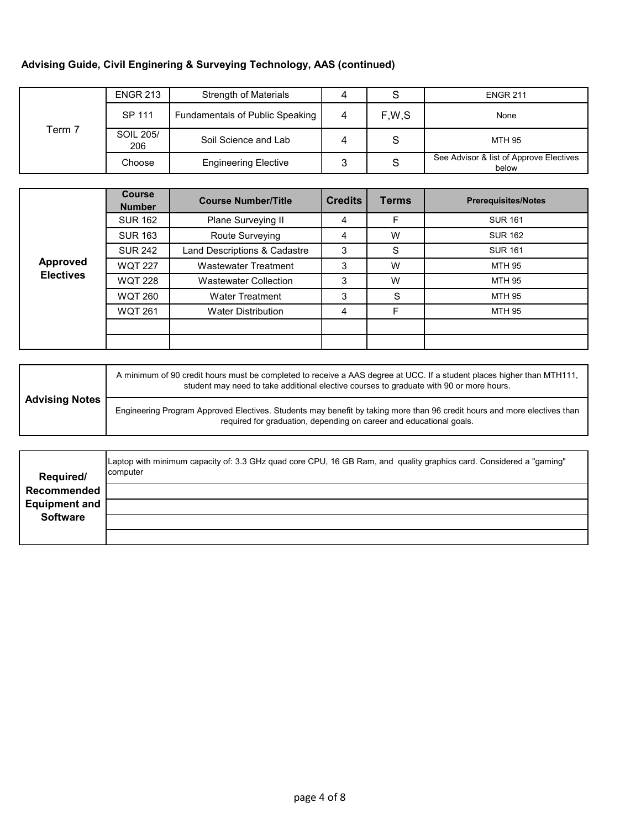## **Advising Guide, Civil Enginering & Surveying Technology, AAS (continued)**

| Term 7 | <b>ENGR 213</b>  | Strength of Materials           |        |       | <b>ENGR 211</b>                                  |
|--------|------------------|---------------------------------|--------|-------|--------------------------------------------------|
|        | SP 111           | Fundamentals of Public Speaking | 4      | F,W,S | None                                             |
|        | SOIL 205/<br>206 | Soil Science and Lab            | 4      | S     | MTH 95                                           |
|        | Choose           | <b>Engineering Elective</b>     | ິ<br>J | S     | See Advisor & list of Approve Electives<br>below |

|                  | <b>Course</b><br><b>Number</b> | <b>Course Number/Title</b>   | <b>Credits</b> | <b>Terms</b> | <b>Prerequisites/Notes</b> |
|------------------|--------------------------------|------------------------------|----------------|--------------|----------------------------|
|                  | <b>SUR 162</b>                 | Plane Surveying II           | 4              | F            | <b>SUR 161</b>             |
|                  | <b>SUR 163</b>                 | Route Surveying              | 4              | W            | <b>SUR 162</b>             |
|                  | <b>SUR 242</b>                 | Land Descriptions & Cadastre | 3              | S            | <b>SUR 161</b>             |
| <b>Approved</b>  | <b>WQT 227</b>                 | <b>Wastewater Treatment</b>  | 3              | W            | MTH 95                     |
| <b>Electives</b> | <b>WQT 228</b>                 | <b>Wastewater Collection</b> | 3              | W            | MTH 95                     |
|                  | <b>WQT 260</b>                 | <b>Water Treatment</b>       | 3              | S            | MTH 95                     |
|                  | <b>WQT 261</b>                 | <b>Water Distribution</b>    | 4              | F            | MTH 95                     |
|                  |                                |                              |                |              |                            |
|                  |                                |                              |                |              |                            |

|                       | A minimum of 90 credit hours must be completed to receive a AAS degree at UCC. If a student places higher than MTH111,<br>student may need to take additional elective courses to graduate with 90 or more hours. |
|-----------------------|-------------------------------------------------------------------------------------------------------------------------------------------------------------------------------------------------------------------|
| <b>Advising Notes</b> | Engineering Program Approved Electives. Students may benefit by taking more than 96 credit hours and more electives than<br>required for graduation, depending on career and educational goals.                   |

| Required/            | Laptop with minimum capacity of: 3.3 GHz quad core CPU, 16 GB Ram, and quality graphics card. Considered a "gaming"<br>computer |
|----------------------|---------------------------------------------------------------------------------------------------------------------------------|
| Recommended          |                                                                                                                                 |
| <b>Equipment and</b> |                                                                                                                                 |
| <b>Software</b>      |                                                                                                                                 |
|                      |                                                                                                                                 |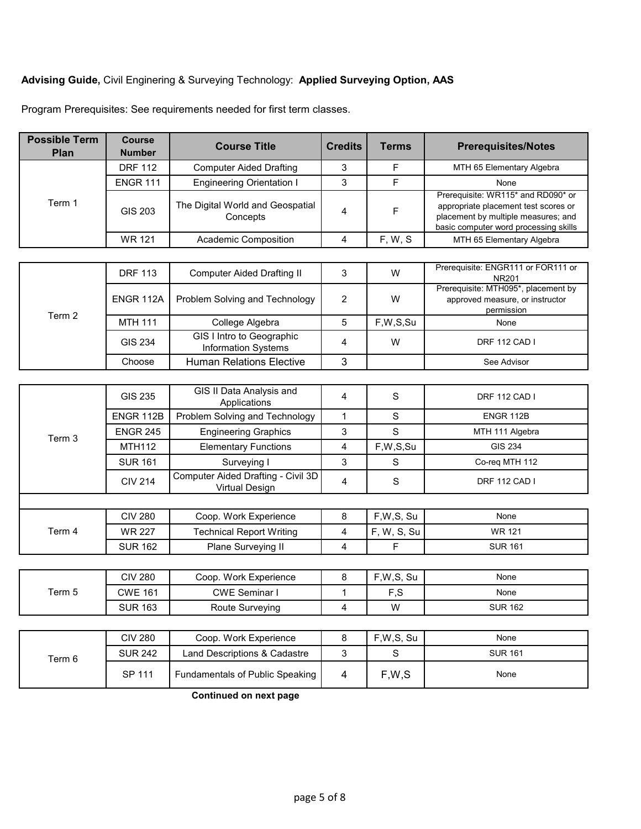#### **Advising Guide,** Civil Enginering & Surveying Technology: **Applied Surveying Option, AAS**

| <b>Possible Term</b><br>Plan | <b>Course</b><br><b>Number</b> | <b>Course Title</b>                          | <b>Credits</b> | <b>Terms</b> | <b>Prerequisites/Notes</b>                                                                                                                                 |
|------------------------------|--------------------------------|----------------------------------------------|----------------|--------------|------------------------------------------------------------------------------------------------------------------------------------------------------------|
|                              | <b>DRF 112</b>                 | <b>Computer Aided Drafting</b>               | 3              | F            | MTH 65 Elementary Algebra                                                                                                                                  |
|                              | <b>ENGR 111</b>                | <b>Engineering Orientation I</b>             | 3              |              | None                                                                                                                                                       |
| Term 1                       | GIS 203                        | The Digital World and Geospatial<br>Concepts | 4              |              | Prerequisite: WR115* and RD090* or<br>appropriate placement test scores or<br>placement by multiple measures; and<br>basic computer word processing skills |
|                              | <b>WR 121</b>                  | <b>Academic Composition</b>                  |                | F, W, S      | MTH 65 Elementary Algebra                                                                                                                                  |
|                              |                                |                                              |                |              |                                                                                                                                                            |
|                              | <b>DRF 113</b>                 | Computer Aided Drafting II                   | 3              | W            | Prerequisite: ENGR111 or FOR111 or<br>NR201                                                                                                                |

Program Prerequisites: See requirements needed for first term classes.

|        | <b>DRF 113</b> | Computer Aided Drafting II                              |   | W        | Prerequisite: ENGR111 or FOR111 or<br>NR201 |
|--------|----------------|---------------------------------------------------------|---|----------|---------------------------------------------|
|        |                |                                                         |   |          | Prerequisite: MTH095*, placement by         |
|        | ENGR 112A      | Problem Solving and Technology                          | 2 | W        | approved measure, or instructor             |
|        |                |                                                         |   |          | permission                                  |
| Term 2 |                |                                                         |   |          |                                             |
|        | <b>MTH 111</b> | College Algebra                                         |   | F,W,S,Su | None                                        |
|        | GIS 234        | GIS I Intro to Geographic<br><b>Information Systems</b> |   | W        | DRF 112 CAD I                               |
|        | Choose         | <b>Human Relations Elective</b>                         | ົ |          | See Advisor                                 |

|        | GIS 235          | GIS II Data Analysis and<br>Applications             | 4 | S           | DRF 112 CAD I        |
|--------|------------------|------------------------------------------------------|---|-------------|----------------------|
|        | <b>ENGR 112B</b> | Problem Solving and Technology                       |   | S           | <b>ENGR 112B</b>     |
| Term 3 | <b>ENGR 245</b>  | <b>Engineering Graphics</b>                          | 3 | S           | MTH 111 Algebra      |
|        | <b>MTH112</b>    | <b>Elementary Functions</b>                          | 4 | F,W,S,Su    | GIS 234              |
|        | <b>SUR 161</b>   | Surveying I                                          | 3 | S           | Co-reg MTH 112       |
|        | <b>CIV 214</b>   | Computer Aided Drafting - Civil 3D<br>Virtual Design | 4 | S           | <b>DRF 112 CAD I</b> |
|        |                  |                                                      |   |             |                      |
|        | <b>CIV 280</b>   | Coop. Work Experience                                | 8 | F,W,S, Su   | None                 |
| Term 4 | <b>WR 227</b>    | <b>Technical Report Writing</b>                      | 4 | F, W, S, Su | <b>WR 121</b>        |
|        | <b>SUR 162</b>   | Plane Surveying II                                   | 4 | F           | <b>SUR 161</b>       |

|        | CIV 280        | Coop. Work Experience | $F.W.S.$ Su                 | None           |
|--------|----------------|-----------------------|-----------------------------|----------------|
| Term 5 | CWE 161        | CWE Seminar I         | $\cdot$ $\sim$ $\sim$<br>ت. | None           |
|        | <b>SUR 163</b> | Route Surveying       | W                           | <b>SUR 162</b> |

| Term 6 | <b>CIV 280</b> | Coop. Work Experience           | F.W.S. Su | None           |
|--------|----------------|---------------------------------|-----------|----------------|
|        | <b>SUR 242</b> | Land Descriptions & Cadastre    |           | <b>SUR 161</b> |
|        | SP 111         | Fundamentals of Public Speaking | F.W.S     | None           |

**Continued on next page**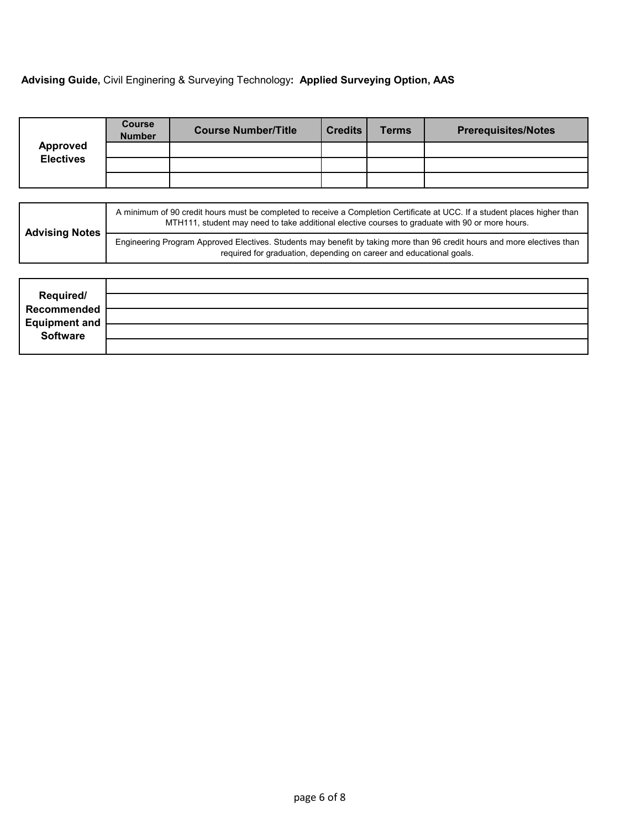# **Advising Guide,** Civil Enginering & Surveying Technology**: Applied Surveying Option, AAS**

|                  | <b>Course</b><br><b>Number</b> | <b>Course Number/Title</b>                                                                                        | <b>Credits</b> | Terms | <b>Prerequisites/Notes</b>                                                                                                 |
|------------------|--------------------------------|-------------------------------------------------------------------------------------------------------------------|----------------|-------|----------------------------------------------------------------------------------------------------------------------------|
| <b>Approved</b>  |                                |                                                                                                                   |                |       |                                                                                                                            |
| <b>Electives</b> |                                |                                                                                                                   |                |       |                                                                                                                            |
|                  |                                |                                                                                                                   |                |       |                                                                                                                            |
|                  |                                |                                                                                                                   |                |       |                                                                                                                            |
|                  |                                | restricted to the contract of the contract of the contract of the contract of the contract of the contract of the |                |       | A minimum of 90 credit hours must be completed to receive a Completion Certificate at UCC. If a student places higher than |

| <b>Advising Notes</b> | MTH111, student may need to take additional elective courses to graduate with 90 or more hours.                          |
|-----------------------|--------------------------------------------------------------------------------------------------------------------------|
|                       | Engineering Program Approved Electives. Students may benefit by taking more than 96 credit hours and more electives than |
|                       | required for graduation, depending on career and educational goals.                                                      |

| Required/<br>Recommended          |  |
|-----------------------------------|--|
|                                   |  |
| <b>Equipment and<br/>Software</b> |  |
|                                   |  |
|                                   |  |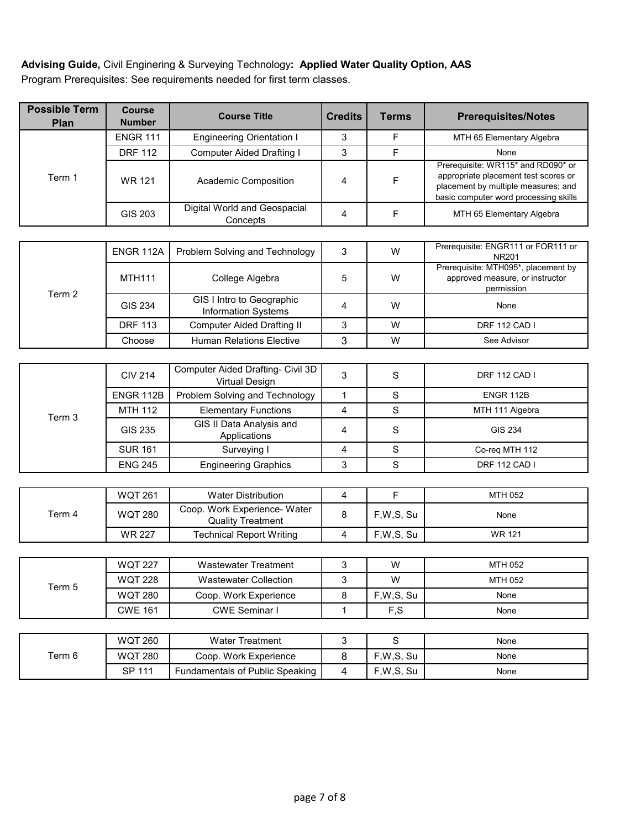**Advising Guide,** Civil Enginering & Surveying Technology**: Applied Water Quality Option, AAS** Program Prerequisites: See requirements needed for first term classes.

| <b>Possible Term</b><br>Plan | <b>Course</b><br><b>Number</b> | <b>Course Title</b>                                        | <b>Credits</b>          | <b>Terms</b> | <b>Prerequisites/Notes</b>                                                                                                                                 |
|------------------------------|--------------------------------|------------------------------------------------------------|-------------------------|--------------|------------------------------------------------------------------------------------------------------------------------------------------------------------|
| Term 1                       | <b>ENGR 111</b>                | <b>Engineering Orientation I</b>                           | 3                       | F            | MTH 65 Elementary Algebra                                                                                                                                  |
|                              | <b>DRF 112</b>                 | <b>Computer Aided Drafting I</b>                           | 3                       | F            | None                                                                                                                                                       |
|                              | <b>WR 121</b>                  | <b>Academic Composition</b>                                | 4                       | F            | Prerequisite: WR115* and RD090* or<br>appropriate placement test scores or<br>placement by multiple measures; and<br>basic computer word processing skills |
|                              | <b>GIS 203</b>                 | Digital World and Geospacial<br>Concepts                   | 4                       | $\mathsf F$  | MTH 65 Elementary Algebra                                                                                                                                  |
|                              |                                |                                                            |                         |              |                                                                                                                                                            |
|                              | ENGR 112A                      | Problem Solving and Technology                             | 3                       | W            | Prerequisite: ENGR111 or FOR111 or<br><b>NR201</b>                                                                                                         |
| Term 2                       | <b>MTH111</b>                  | College Algebra                                            | 5                       | W            | Prerequisite: MTH095*, placement by<br>approved measure, or instructor<br>permission                                                                       |
|                              | <b>GIS 234</b>                 | GIS I Intro to Geographic<br>Information Systems           | 4                       | W            | None                                                                                                                                                       |
|                              | <b>DRF 113</b>                 | <b>Computer Aided Drafting II</b>                          | 3                       | W            | <b>DRF 112 CAD I</b>                                                                                                                                       |
|                              | Choose                         | <b>Human Relations Elective</b>                            | 3                       | W            | See Advisor                                                                                                                                                |
|                              |                                |                                                            |                         |              |                                                                                                                                                            |
|                              | <b>CIV 214</b>                 | Computer Aided Drafting- Civil 3D<br><b>Virtual Design</b> | 3                       | S            | DRF 112 CAD I                                                                                                                                              |
|                              | <b>ENGR 112B</b>               | Problem Solving and Technology                             | $\mathbf{1}$            | $\mathbf S$  | ENGR 112B                                                                                                                                                  |
| Term 3                       | <b>MTH 112</b>                 | <b>Elementary Functions</b>                                | 4                       | $\mathbf S$  | MTH 111 Algebra                                                                                                                                            |
|                              | GIS 235                        | GIS II Data Analysis and<br>Applications                   | 4                       | $\mathbf S$  | <b>GIS 234</b>                                                                                                                                             |
|                              | <b>SUR 161</b>                 | Surveying I                                                | 4                       | $\mathbf S$  | Co-req MTH 112                                                                                                                                             |
|                              | <b>ENG 245</b>                 | <b>Engineering Graphics</b>                                | 3                       | $\mathbf S$  | DRF 112 CAD I                                                                                                                                              |
|                              |                                |                                                            |                         |              |                                                                                                                                                            |
|                              | <b>WQT 261</b>                 | <b>Water Distribution</b>                                  | $\overline{\mathbf{4}}$ | $\mathsf F$  | MTH 052                                                                                                                                                    |
| Term 4                       | <b>WQT 280</b>                 | Coop. Work Experience- Water<br><b>Quality Treatment</b>   | 8                       | F,W,S, Su    | None                                                                                                                                                       |
|                              | <b>WR 227</b>                  | <b>Technical Report Writing</b>                            | 4                       | F,W,S, Su    | <b>WR 121</b>                                                                                                                                              |
|                              |                                |                                                            |                         |              |                                                                                                                                                            |
| Term 5                       | <b>WQT 227</b>                 | <b>Wastewater Treatment</b>                                | $\mathsf 3$             | W            | MTH 052                                                                                                                                                    |
|                              | <b>WQT 228</b>                 | <b>Wastewater Collection</b>                               | 3                       | W            | MTH 052                                                                                                                                                    |
|                              | <b>WQT 280</b>                 | Coop. Work Experience                                      | 8                       | F,W,S, Su    | None                                                                                                                                                       |
|                              | <b>CWE 161</b>                 | <b>CWE Seminar I</b>                                       | 1                       | F,S          | None                                                                                                                                                       |
|                              |                                |                                                            |                         |              |                                                                                                                                                            |
|                              | <b>WQT 260</b>                 | <b>Water Treatment</b>                                     | $\mathsf 3$             | S            | None                                                                                                                                                       |
| Term 6                       | <b>WQT 280</b>                 | Coop. Work Experience                                      | 8                       | F,W,S, Su    | None                                                                                                                                                       |
|                              | SP 111                         | Fundamentals of Public Speaking                            | 4                       | F,W,S, Su    | None                                                                                                                                                       |